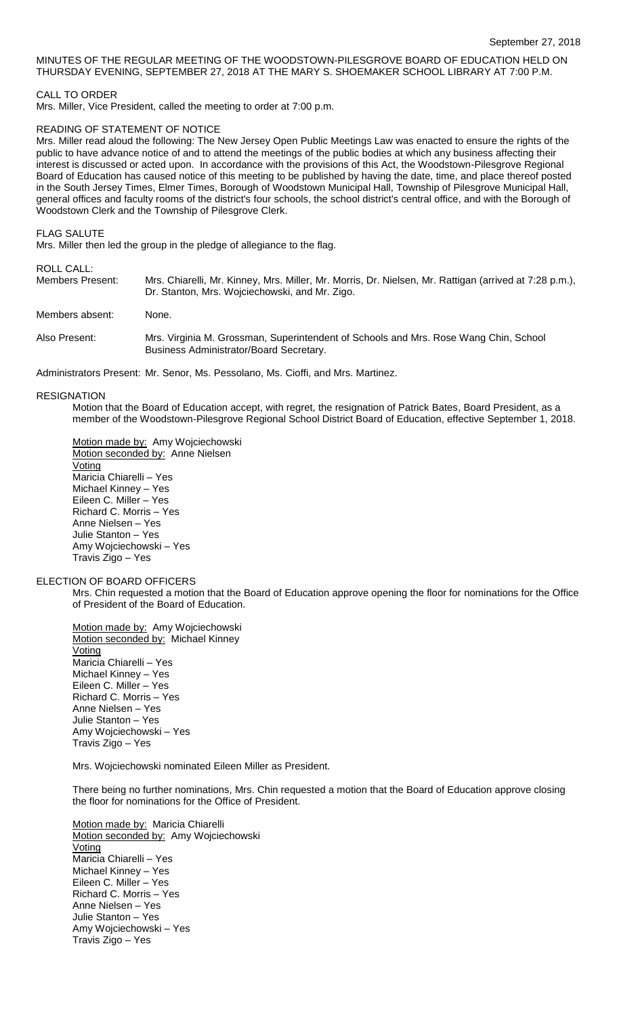## MINUTES OF THE REGULAR MEETING OF THE WOODSTOWN-PILESGROVE BOARD OF EDUCATION HELD ON THURSDAY EVENING, SEPTEMBER 27, 2018 AT THE MARY S. SHOEMAKER SCHOOL LIBRARY AT 7:00 P.M.

## CALL TO ORDER

Mrs. Miller, Vice President, called the meeting to order at 7:00 p.m.

## READING OF STATEMENT OF NOTICE

Mrs. Miller read aloud the following: The New Jersey Open Public Meetings Law was enacted to ensure the rights of the public to have advance notice of and to attend the meetings of the public bodies at which any business affecting their interest is discussed or acted upon. In accordance with the provisions of this Act, the Woodstown-Pilesgrove Regional Board of Education has caused notice of this meeting to be published by having the date, time, and place thereof posted in the South Jersey Times, Elmer Times, Borough of Woodstown Municipal Hall, Township of Pilesgrove Municipal Hall, general offices and faculty rooms of the district's four schools, the school district's central office, and with the Borough of Woodstown Clerk and the Township of Pilesgrove Clerk.

FLAG SALUTE

Mrs. Miller then led the group in the pledge of allegiance to the flag.

## ROLL CALL:

| .<br>Members Present: | Mrs. Chiarelli, Mr. Kinney, Mrs. Miller, Mr. Morris, Dr. Nielsen, Mr. Rattigan (arrived at 7:28 p.m.),<br>Dr. Stanton, Mrs. Wojciechowski, and Mr. Zigo. |
|-----------------------|----------------------------------------------------------------------------------------------------------------------------------------------------------|
| Members absent:       | None.                                                                                                                                                    |
| Also Present:         | Mrs. Virginia M. Grossman, Superintendent of Schools and Mrs. Rose Wang Chin, School<br>Business Administrator/Board Secretary.                          |

Administrators Present: Mr. Senor, Ms. Pessolano, Ms. Cioffi, and Mrs. Martinez.

#### RESIGNATION

Motion that the Board of Education accept, with regret, the resignation of Patrick Bates, Board President, as a member of the Woodstown-Pilesgrove Regional School District Board of Education, effective September 1, 2018.

Motion made by: Amy Wojciechowski Motion seconded by: Anne Nielsen **Voting** Maricia Chiarelli – Yes Michael Kinney – Yes Eileen C. Miller – Yes Richard C. Morris – Yes Anne Nielsen – Yes Julie Stanton – Yes Amy Wojciechowski – Yes Travis Zigo – Yes

### ELECTION OF BOARD OFFICERS

Mrs. Chin requested a motion that the Board of Education approve opening the floor for nominations for the Office of President of the Board of Education.

Motion made by: Amy Wojciechowski Motion seconded by: Michael Kinney **Voting** Maricia Chiarelli – Yes Michael Kinney – Yes Eileen C. Miller – Yes Richard C. Morris – Yes Anne Nielsen – Yes Julie Stanton – Yes Amy Wojciechowski – Yes Travis Zigo – Yes

Mrs. Wojciechowski nominated Eileen Miller as President.

There being no further nominations, Mrs. Chin requested a motion that the Board of Education approve closing the floor for nominations for the Office of President.

Motion made by: Maricia Chiarelli Motion seconded by: Amy Wojciechowski **Voting** Maricia Chiarelli – Yes Michael Kinney – Yes Eileen C. Miller – Yes Richard C. Morris – Yes Anne Nielsen – Yes Julie Stanton – Yes Amy Wojciechowski – Yes Travis Zigo – Yes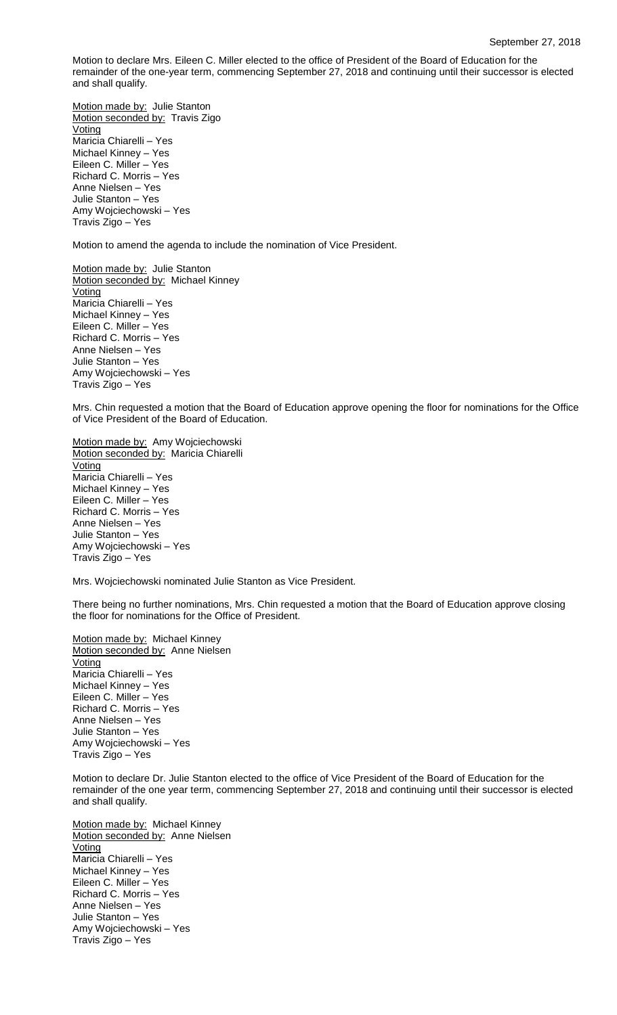Motion to declare Mrs. Eileen C. Miller elected to the office of President of the Board of Education for the remainder of the one-year term, commencing September 27, 2018 and continuing until their successor is elected and shall qualify.

Motion made by: Julie Stanton Motion seconded by: Travis Zigo **Voting** Maricia Chiarelli – Yes Michael Kinney – Yes Eileen C. Miller – Yes Richard C. Morris – Yes Anne Nielsen – Yes Julie Stanton – Yes Amy Wojciechowski – Yes Travis Zigo – Yes

Motion to amend the agenda to include the nomination of Vice President.

Motion made by: Julie Stanton Motion seconded by: Michael Kinney Voting Maricia Chiarelli – Yes Michael Kinney – Yes Eileen C. Miller – Yes Richard C. Morris – Yes Anne Nielsen – Yes Julie Stanton – Yes Amy Wojciechowski – Yes Travis Zigo – Yes

Mrs. Chin requested a motion that the Board of Education approve opening the floor for nominations for the Office of Vice President of the Board of Education.

Motion made by: Amy Wojciechowski Motion seconded by: Maricia Chiarelli **Voting** Maricia Chiarelli – Yes Michael Kinney – Yes Eileen C. Miller – Yes Richard C. Morris – Yes Anne Nielsen – Yes Julie Stanton – Yes Amy Wojciechowski – Yes Travis Zigo – Yes

Mrs. Wojciechowski nominated Julie Stanton as Vice President.

There being no further nominations, Mrs. Chin requested a motion that the Board of Education approve closing the floor for nominations for the Office of President.

Motion made by: Michael Kinney Motion seconded by: Anne Nielsen **Voting** Maricia Chiarelli – Yes Michael Kinney – Yes Eileen C. Miller – Yes Richard C. Morris – Yes Anne Nielsen – Yes Julie Stanton – Yes Amy Wojciechowski – Yes Travis Zigo – Yes

Motion to declare Dr. Julie Stanton elected to the office of Vice President of the Board of Education for the remainder of the one year term, commencing September 27, 2018 and continuing until their successor is elected and shall qualify.

Motion made by: Michael Kinney Motion seconded by: Anne Nielsen Voting Maricia Chiarelli – Yes Michael Kinney – Yes Eileen C. Miller – Yes Richard C. Morris – Yes Anne Nielsen – Yes Julie Stanton – Yes Amy Wojciechowski – Yes Travis Zigo – Yes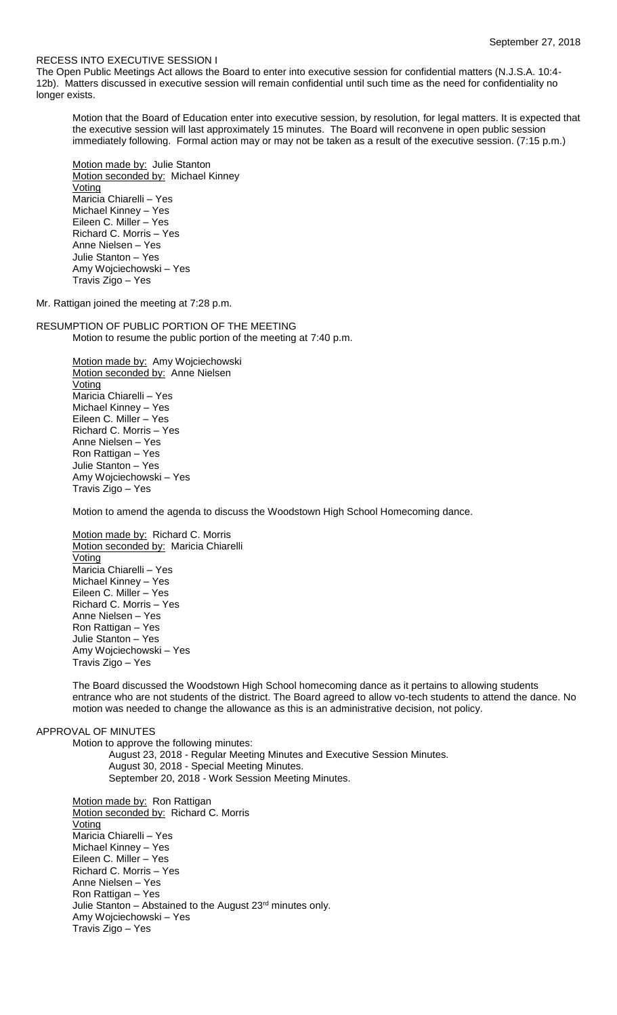### RECESS INTO EXECUTIVE SESSION I

The Open Public Meetings Act allows the Board to enter into executive session for confidential matters (N.J.S.A. 10:4- 12b). Matters discussed in executive session will remain confidential until such time as the need for confidentiality no longer exists.

Motion that the Board of Education enter into executive session, by resolution, for legal matters. It is expected that the executive session will last approximately 15 minutes. The Board will reconvene in open public session immediately following. Formal action may or may not be taken as a result of the executive session. (7:15 p.m.)

Motion made by: Julie Stanton Motion seconded by: Michael Kinney Voting Maricia Chiarelli – Yes Michael Kinney – Yes Eileen C. Miller – Yes Richard C. Morris – Yes Anne Nielsen – Yes Julie Stanton – Yes Amy Wojciechowski – Yes Travis Zigo – Yes

Mr. Rattigan joined the meeting at 7:28 p.m.

RESUMPTION OF PUBLIC PORTION OF THE MEETING Motion to resume the public portion of the meeting at 7:40 p.m.

> Motion made by: Amy Wojciechowski Motion seconded by: Anne Nielsen Voting Maricia Chiarelli – Yes Michael Kinney – Yes Eileen C. Miller – Yes Richard C. Morris – Yes Anne Nielsen – Yes Ron Rattigan – Yes Julie Stanton – Yes Amy Wojciechowski – Yes Travis Zigo – Yes

Motion to amend the agenda to discuss the Woodstown High School Homecoming dance.

Motion made by: Richard C. Morris Motion seconded by: Maricia Chiarelli **Voting** Maricia Chiarelli – Yes Michael Kinney – Yes Eileen C. Miller – Yes Richard C. Morris – Yes Anne Nielsen – Yes Ron Rattigan – Yes Julie Stanton – Yes Amy Wojciechowski – Yes Travis Zigo – Yes

The Board discussed the Woodstown High School homecoming dance as it pertains to allowing students entrance who are not students of the district. The Board agreed to allow vo-tech students to attend the dance. No motion was needed to change the allowance as this is an administrative decision, not policy.

## APPROVAL OF MINUTES

Motion to approve the following minutes: August 23, 2018 - Regular Meeting Minutes and Executive Session Minutes. August 30, 2018 - Special Meeting Minutes. September 20, 2018 - Work Session Meeting Minutes.

Motion made by: Ron Rattigan Motion seconded by: Richard C. Morris **Voting** Maricia Chiarelli – Yes Michael Kinney – Yes Eileen C. Miller – Yes Richard C. Morris – Yes Anne Nielsen – Yes Ron Rattigan – Yes Julie Stanton - Abstained to the August 23<sup>rd</sup> minutes only. Amy Wojciechowski – Yes Travis Zigo – Yes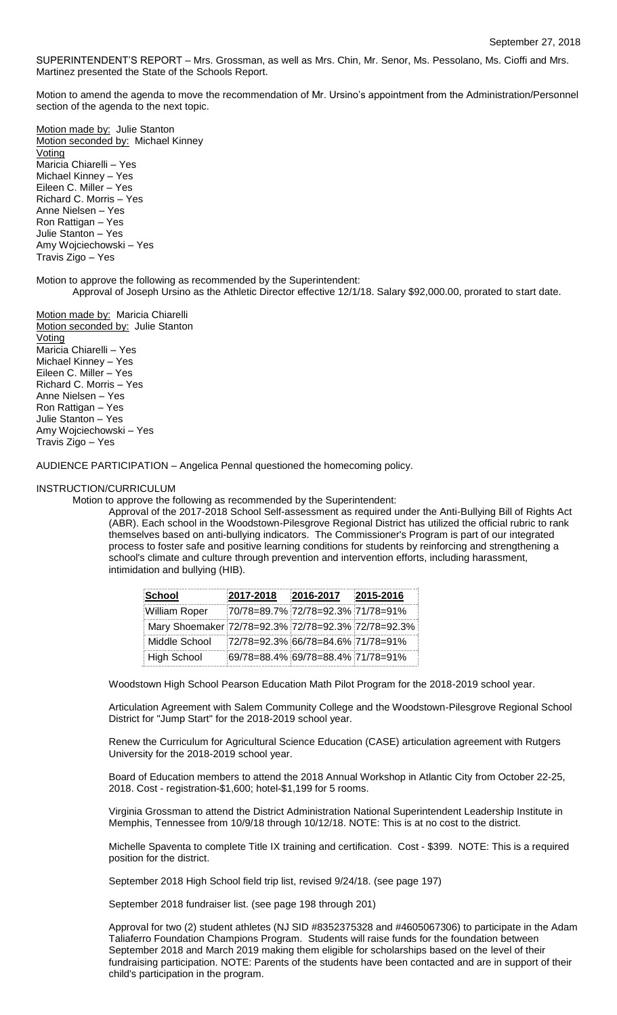SUPERINTENDENT'S REPORT – Mrs. Grossman, as well as Mrs. Chin, Mr. Senor, Ms. Pessolano, Ms. Cioffi and Mrs. Martinez presented the State of the Schools Report.

Motion to amend the agenda to move the recommendation of Mr. Ursino's appointment from the Administration/Personnel section of the agenda to the next topic.

Motion made by: Julie Stanton Motion seconded by: Michael Kinney Voting Maricia Chiarelli – Yes Michael Kinney – Yes Eileen C. Miller – Yes Richard C. Morris – Yes Anne Nielsen – Yes Ron Rattigan – Yes Julie Stanton – Yes Amy Wojciechowski – Yes Travis Zigo – Yes

Motion to approve the following as recommended by the Superintendent: Approval of Joseph Ursino as the Athletic Director effective 12/1/18. Salary \$92,000.00, prorated to start date.

Motion made by: Maricia Chiarelli Motion seconded by: Julie Stanton Voting Maricia Chiarelli – Yes Michael Kinney – Yes Eileen C. Miller – Yes Richard C. Morris – Yes Anne Nielsen – Yes Ron Rattigan – Yes Julie Stanton – Yes Amy Wojciechowski – Yes Travis Zigo – Yes

AUDIENCE PARTICIPATION – Angelica Pennal questioned the homecoming policy.

## INSTRUCTION/CURRICULUM

Motion to approve the following as recommended by the Superintendent:

Approval of the 2017-2018 School Self-assessment as required under the Anti-Bullying Bill of Rights Act (ABR). Each school in the Woodstown-Pilesgrove Regional District has utilized the official rubric to rank themselves based on anti-bullying indicators. The Commissioner's Program is part of our integrated process to foster safe and positive learning conditions for students by reinforcing and strengthening a school's climate and culture through prevention and intervention efforts, including harassment, intimidation and bullying (HIB).

| School                                             | 2017-2018 | 2016-2017                         | $ 2015 - 2016 $ |
|----------------------------------------------------|-----------|-----------------------------------|-----------------|
| William Roper                                      |           | 70/78=89.7% 72/78=92.3% 71/78=91% |                 |
| Mary Shoemaker 72/78=92.3% 72/78=92.3% 72/78=92.3% |           |                                   |                 |
| Middle School                                      |           | 72/78=92.3% 66/78=84.6% 71/78=91% |                 |
| <b>High School</b>                                 |           | 69/78=88.4% 69/78=88.4% 71/78=91% |                 |

Woodstown High School Pearson Education Math Pilot Program for the 2018-2019 school year.

Articulation Agreement with Salem Community College and the Woodstown-Pilesgrove Regional School District for "Jump Start" for the 2018-2019 school year.

Renew the Curriculum for Agricultural Science Education (CASE) articulation agreement with Rutgers University for the 2018-2019 school year.

Board of Education members to attend the 2018 Annual Workshop in Atlantic City from October 22-25, 2018. Cost - registration-\$1,600; hotel-\$1,199 for 5 rooms.

Virginia Grossman to attend the District Administration National Superintendent Leadership Institute in Memphis, Tennessee from 10/9/18 through 10/12/18. NOTE: This is at no cost to the district.

Michelle Spaventa to complete Title IX training and certification. Cost - \$399. NOTE: This is a required position for the district.

September 2018 High School field trip list, revised 9/24/18. (see page 197)

September 2018 fundraiser list. (see page 198 through 201)

Approval for two (2) student athletes (NJ SID #8352375328 and #4605067306) to participate in the Adam Taliaferro Foundation Champions Program. Students will raise funds for the foundation between September 2018 and March 2019 making them eligible for scholarships based on the level of their fundraising participation. NOTE: Parents of the students have been contacted and are in support of their child's participation in the program.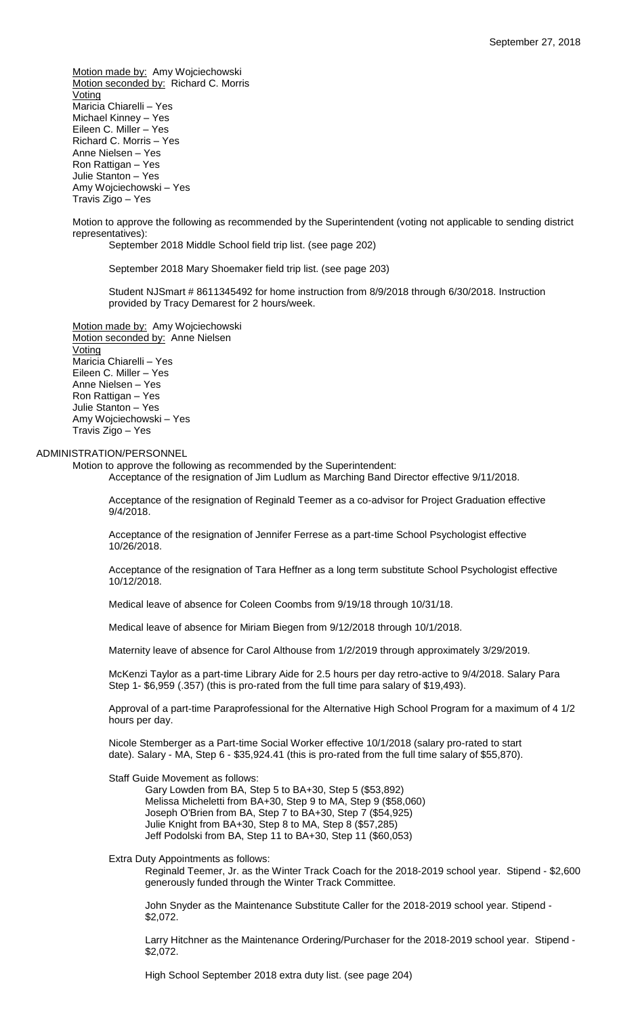Motion made by: Amy Wojciechowski Motion seconded by: Richard C. Morris **Voting** Maricia Chiarelli – Yes Michael Kinney – Yes Eileen C. Miller – Yes Richard C. Morris – Yes Anne Nielsen – Yes Ron Rattigan – Yes Julie Stanton – Yes Amy Wojciechowski – Yes Travis Zigo – Yes

Motion to approve the following as recommended by the Superintendent (voting not applicable to sending district representatives):

September 2018 Middle School field trip list. (see page 202)

September 2018 Mary Shoemaker field trip list. (see page 203)

Student NJSmart # 8611345492 for home instruction from 8/9/2018 through 6/30/2018. Instruction provided by Tracy Demarest for 2 hours/week.

Motion made by: Amy Wojciechowski Motion seconded by: Anne Nielsen **Voting** Maricia Chiarelli – Yes Eileen C. Miller – Yes Anne Nielsen – Yes Ron Rattigan – Yes Julie Stanton – Yes Amy Wojciechowski – Yes Travis Zigo – Yes

## ADMINISTRATION/PERSONNEL

Motion to approve the following as recommended by the Superintendent:

Acceptance of the resignation of Jim Ludlum as Marching Band Director effective 9/11/2018.

Acceptance of the resignation of Reginald Teemer as a co-advisor for Project Graduation effective 9/4/2018.

Acceptance of the resignation of Jennifer Ferrese as a part-time School Psychologist effective 10/26/2018.

Acceptance of the resignation of Tara Heffner as a long term substitute School Psychologist effective 10/12/2018.

Medical leave of absence for Coleen Coombs from 9/19/18 through 10/31/18.

Medical leave of absence for Miriam Biegen from 9/12/2018 through 10/1/2018.

Maternity leave of absence for Carol Althouse from 1/2/2019 through approximately 3/29/2019.

McKenzi Taylor as a part-time Library Aide for 2.5 hours per day retro-active to 9/4/2018. Salary Para Step 1- \$6,959 (.357) (this is pro-rated from the full time para salary of \$19,493).

Approval of a part-time Paraprofessional for the Alternative High School Program for a maximum of 4 1/2 hours per day.

Nicole Stemberger as a Part-time Social Worker effective 10/1/2018 (salary pro-rated to start date). Salary - MA, Step 6 - \$35,924.41 (this is pro-rated from the full time salary of \$55,870).

Staff Guide Movement as follows:

Gary Lowden from BA, Step 5 to BA+30, Step 5 (\$53,892) Melissa Micheletti from BA+30, Step 9 to MA, Step 9 (\$58,060) Joseph O'Brien from BA, Step 7 to BA+30, Step 7 (\$54,925) Julie Knight from BA+30, Step 8 to MA, Step 8 (\$57,285) Jeff Podolski from BA, Step 11 to BA+30, Step 11 (\$60,053)

Extra Duty Appointments as follows:

Reginald Teemer, Jr. as the Winter Track Coach for the 2018-2019 school year. Stipend - \$2,600 generously funded through the Winter Track Committee.

John Snyder as the Maintenance Substitute Caller for the 2018-2019 school year. Stipend - \$2,072.

Larry Hitchner as the Maintenance Ordering/Purchaser for the 2018-2019 school year. Stipend - \$2,072.

High School September 2018 extra duty list. (see page 204)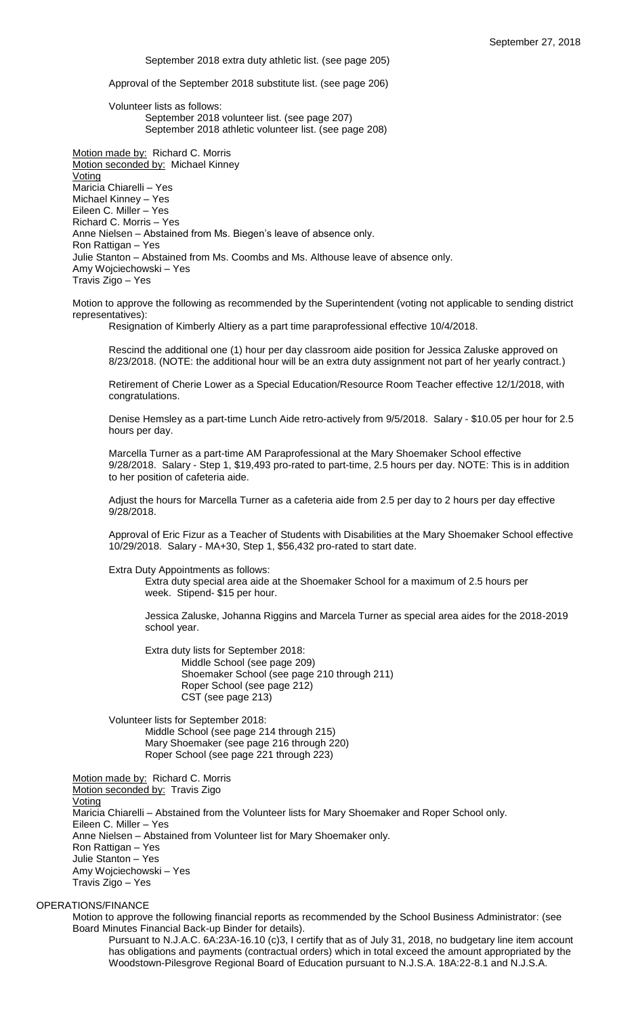September 2018 extra duty athletic list. (see page 205)

Approval of the September 2018 substitute list. (see page 206)

Volunteer lists as follows: September 2018 volunteer list. (see page 207) September 2018 athletic volunteer list. (see page 208)

Motion made by: Richard C. Morris Motion seconded by: Michael Kinney Voting Maricia Chiarelli – Yes Michael Kinney – Yes Eileen C. Miller – Yes Richard C. Morris – Yes Anne Nielsen – Abstained from Ms. Biegen's leave of absence only. Ron Rattigan – Yes Julie Stanton – Abstained from Ms. Coombs and Ms. Althouse leave of absence only. Amy Wojciechowski – Yes Travis Zigo – Yes

Motion to approve the following as recommended by the Superintendent (voting not applicable to sending district representatives):

Resignation of Kimberly Altiery as a part time paraprofessional effective 10/4/2018.

Rescind the additional one (1) hour per day classroom aide position for Jessica Zaluske approved on 8/23/2018. (NOTE: the additional hour will be an extra duty assignment not part of her yearly contract.)

Retirement of Cherie Lower as a Special Education/Resource Room Teacher effective 12/1/2018, with congratulations.

Denise Hemsley as a part-time Lunch Aide retro-actively from 9/5/2018. Salary - \$10.05 per hour for 2.5 hours per day.

Marcella Turner as a part-time AM Paraprofessional at the Mary Shoemaker School effective 9/28/2018. Salary - Step 1, \$19,493 pro-rated to part-time, 2.5 hours per day. NOTE: This is in addition to her position of cafeteria aide.

Adjust the hours for Marcella Turner as a cafeteria aide from 2.5 per day to 2 hours per day effective 9/28/2018.

Approval of Eric Fizur as a Teacher of Students with Disabilities at the Mary Shoemaker School effective 10/29/2018. Salary - MA+30, Step 1, \$56,432 pro-rated to start date.

Extra Duty Appointments as follows:

Extra duty special area aide at the Shoemaker School for a maximum of 2.5 hours per week. Stipend- \$15 per hour.

Jessica Zaluske, Johanna Riggins and Marcela Turner as special area aides for the 2018-2019 school year.

Extra duty lists for September 2018: Middle School (see page 209) Shoemaker School (see page 210 through 211) Roper School (see page 212) CST (see page 213)

Volunteer lists for September 2018: Middle School (see page 214 through 215) Mary Shoemaker (see page 216 through 220) Roper School (see page 221 through 223)

Motion made by: Richard C. Morris Motion seconded by: Travis Zigo **Voting** Maricia Chiarelli – Abstained from the Volunteer lists for Mary Shoemaker and Roper School only. Eileen C. Miller – Yes Anne Nielsen – Abstained from Volunteer list for Mary Shoemaker only. Ron Rattigan – Yes Julie Stanton – Yes Amy Wojciechowski – Yes Travis Zigo – Yes

# OPERATIONS/FINANCE

Motion to approve the following financial reports as recommended by the School Business Administrator: (see Board Minutes Financial Back-up Binder for details).

Pursuant to N.J.A.C. 6A:23A-16.10 (c)3, I certify that as of July 31, 2018, no budgetary line item account has obligations and payments (contractual orders) which in total exceed the amount appropriated by the Woodstown-Pilesgrove Regional Board of Education pursuant to N.J.S.A. 18A:22-8.1 and N.J.S.A.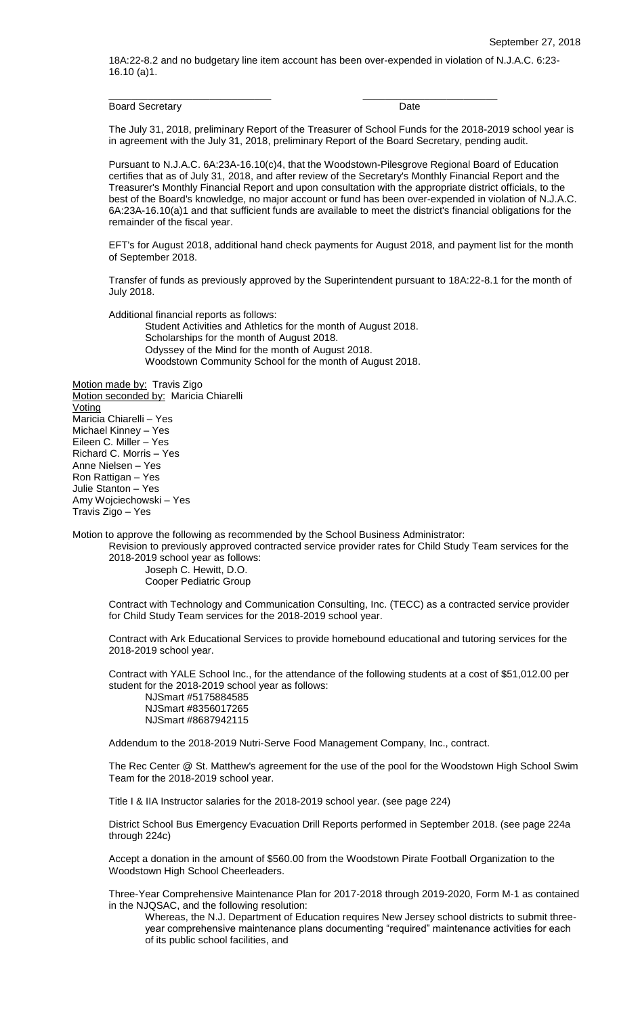18A:22-8.2 and no budgetary line item account has been over-expended in violation of N.J.A.C. 6:23- 16.10 (a)1.

Board Secretary **Date** 

\_\_\_\_\_\_\_\_\_\_\_\_\_\_\_\_\_\_\_\_\_\_\_\_\_\_\_\_\_ \_\_\_\_\_\_\_\_\_\_\_\_\_\_\_\_\_\_\_\_\_\_\_\_

The July 31, 2018, preliminary Report of the Treasurer of School Funds for the 2018-2019 school year is in agreement with the July 31, 2018, preliminary Report of the Board Secretary, pending audit.

Pursuant to N.J.A.C. 6A:23A-16.10(c)4, that the Woodstown-Pilesgrove Regional Board of Education certifies that as of July 31, 2018, and after review of the Secretary's Monthly Financial Report and the Treasurer's Monthly Financial Report and upon consultation with the appropriate district officials, to the best of the Board's knowledge, no major account or fund has been over-expended in violation of N.J.A.C. 6A:23A-16.10(a)1 and that sufficient funds are available to meet the district's financial obligations for the remainder of the fiscal year.

EFT's for August 2018, additional hand check payments for August 2018, and payment list for the month of September 2018.

Transfer of funds as previously approved by the Superintendent pursuant to 18A:22-8.1 for the month of July 2018.

Additional financial reports as follows:

Student Activities and Athletics for the month of August 2018.

Scholarships for the month of August 2018.

Odyssey of the Mind for the month of August 2018. Woodstown Community School for the month of August 2018.

Motion made by: Travis Zigo Motion seconded by: Maricia Chiarelli Voting Maricia Chiarelli – Yes Michael Kinney – Yes Eileen C. Miller – Yes Richard C. Morris – Yes Anne Nielsen – Yes Ron Rattigan – Yes Julie Stanton – Yes Amy Wojciechowski – Yes Travis Zigo – Yes

Motion to approve the following as recommended by the School Business Administrator:

Revision to previously approved contracted service provider rates for Child Study Team services for the 2018-2019 school year as follows:

Joseph C. Hewitt, D.O. Cooper Pediatric Group

Contract with Technology and Communication Consulting, Inc. (TECC) as a contracted service provider for Child Study Team services for the 2018-2019 school year.

Contract with Ark Educational Services to provide homebound educational and tutoring services for the 2018-2019 school year.

Contract with YALE School Inc., for the attendance of the following students at a cost of \$51,012.00 per student for the 2018-2019 school year as follows:

NJSmart #5175884585 NJSmart #8356017265 NJSmart #8687942115

Addendum to the 2018-2019 Nutri-Serve Food Management Company, Inc., contract.

The Rec Center @ St. Matthew's agreement for the use of the pool for the Woodstown High School Swim Team for the 2018-2019 school year.

Title I & IIA Instructor salaries for the 2018-2019 school year. (see page 224)

District School Bus Emergency Evacuation Drill Reports performed in September 2018. (see page 224a through 224c)

Accept a donation in the amount of \$560.00 from the Woodstown Pirate Football Organization to the Woodstown High School Cheerleaders.

Three-Year Comprehensive Maintenance Plan for 2017-2018 through 2019-2020, Form M-1 as contained in the NJQSAC, and the following resolution:

Whereas, the N.J. Department of Education requires New Jersey school districts to submit threeyear comprehensive maintenance plans documenting "required" maintenance activities for each of its public school facilities, and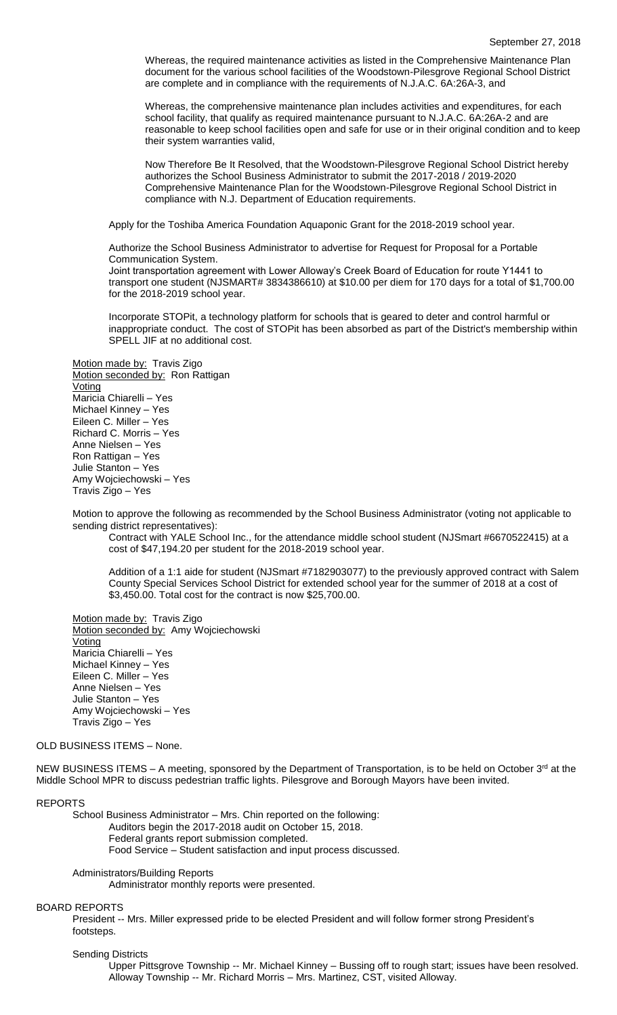Whereas, the required maintenance activities as listed in the Comprehensive Maintenance Plan document for the various school facilities of the Woodstown-Pilesgrove Regional School District are complete and in compliance with the requirements of N.J.A.C. 6A:26A-3, and

Whereas, the comprehensive maintenance plan includes activities and expenditures, for each school facility, that qualify as required maintenance pursuant to N.J.A.C. 6A:26A-2 and are reasonable to keep school facilities open and safe for use or in their original condition and to keep their system warranties valid,

Now Therefore Be It Resolved, that the Woodstown-Pilesgrove Regional School District hereby authorizes the School Business Administrator to submit the 2017-2018 / 2019-2020 Comprehensive Maintenance Plan for the Woodstown-Pilesgrove Regional School District in compliance with N.J. Department of Education requirements.

Apply for the Toshiba America Foundation Aquaponic Grant for the 2018-2019 school year.

Authorize the School Business Administrator to advertise for Request for Proposal for a Portable Communication System.

Joint transportation agreement with Lower Alloway's Creek Board of Education for route Y1441 to transport one student (NJSMART# 3834386610) at \$10.00 per diem for 170 days for a total of \$1,700.00 for the 2018-2019 school year.

Incorporate STOPit, a technology platform for schools that is geared to deter and control harmful or inappropriate conduct. The cost of STOPit has been absorbed as part of the District's membership within SPELL JIF at no additional cost.

Motion made by: Travis Zigo Motion seconded by: Ron Rattigan **Voting** Maricia Chiarelli – Yes Michael Kinney – Yes Eileen C. Miller – Yes Richard C. Morris – Yes Anne Nielsen – Yes Ron Rattigan – Yes Julie Stanton – Yes Amy Wojciechowski – Yes Travis Zigo – Yes

Motion to approve the following as recommended by the School Business Administrator (voting not applicable to sending district representatives):

Contract with YALE School Inc., for the attendance middle school student (NJSmart #6670522415) at a cost of \$47,194.20 per student for the 2018-2019 school year.

Addition of a 1:1 aide for student (NJSmart #7182903077) to the previously approved contract with Salem County Special Services School District for extended school year for the summer of 2018 at a cost of \$3,450.00. Total cost for the contract is now \$25,700.00.

Motion made by: Travis Zigo Motion seconded by: Amy Wojciechowski **Voting** Maricia Chiarelli – Yes Michael Kinney – Yes Eileen C. Miller – Yes Anne Nielsen – Yes Julie Stanton – Yes Amy Wojciechowski – Yes Travis Zigo – Yes

## OLD BUSINESS ITEMS – None.

NEW BUSINESS ITEMS – A meeting, sponsored by the Department of Transportation, is to be held on October 3<sup>rd</sup> at the Middle School MPR to discuss pedestrian traffic lights. Pilesgrove and Borough Mayors have been invited.

#### REPORTS

School Business Administrator – Mrs. Chin reported on the following: Auditors begin the 2017-2018 audit on October 15, 2018. Federal grants report submission completed. Food Service – Student satisfaction and input process discussed.

## Administrators/Building Reports

Administrator monthly reports were presented.

## BOARD REPORTS

President -- Mrs. Miller expressed pride to be elected President and will follow former strong President's footsteps.

## Sending Districts

Upper Pittsgrove Township -- Mr. Michael Kinney – Bussing off to rough start; issues have been resolved. Alloway Township -- Mr. Richard Morris – Mrs. Martinez, CST, visited Alloway.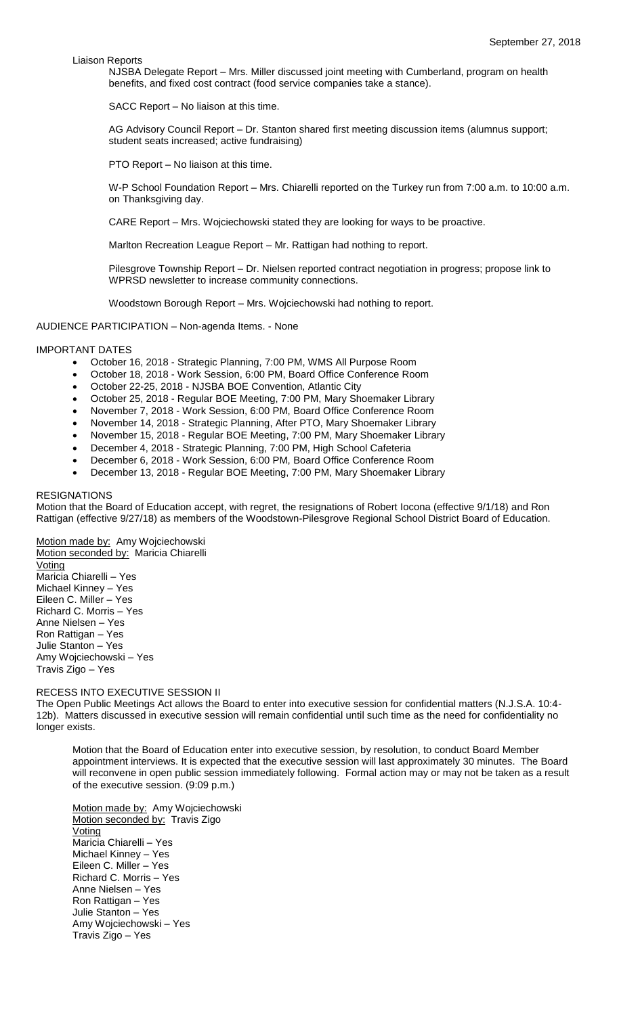Liaison Reports

NJSBA Delegate Report – Mrs. Miller discussed joint meeting with Cumberland, program on health benefits, and fixed cost contract (food service companies take a stance).

SACC Report – No liaison at this time.

AG Advisory Council Report – Dr. Stanton shared first meeting discussion items (alumnus support; student seats increased; active fundraising)

PTO Report – No liaison at this time.

W-P School Foundation Report – Mrs. Chiarelli reported on the Turkey run from 7:00 a.m. to 10:00 a.m. on Thanksgiving day.

CARE Report – Mrs. Wojciechowski stated they are looking for ways to be proactive.

Marlton Recreation League Report – Mr. Rattigan had nothing to report.

Pilesgrove Township Report – Dr. Nielsen reported contract negotiation in progress; propose link to WPRSD newsletter to increase community connections.

Woodstown Borough Report – Mrs. Wojciechowski had nothing to report.

AUDIENCE PARTICIPATION – Non-agenda Items. - None

### IMPORTANT DATES

- October 16, 2018 Strategic Planning, 7:00 PM, WMS All Purpose Room
- October 18, 2018 Work Session, 6:00 PM, Board Office Conference Room
- October 22-25, 2018 NJSBA BOE Convention, Atlantic City
- October 25, 2018 Regular BOE Meeting, 7:00 PM, Mary Shoemaker Library
- November 7, 2018 Work Session, 6:00 PM, Board Office Conference Room
- November 14, 2018 Strategic Planning, After PTO, Mary Shoemaker Library
- November 15, 2018 Regular BOE Meeting, 7:00 PM, Mary Shoemaker Library
- December 4, 2018 Strategic Planning, 7:00 PM, High School Cafeteria
- December 6, 2018 Work Session, 6:00 PM, Board Office Conference Room
- December 13, 2018 Regular BOE Meeting, 7:00 PM, Mary Shoemaker Library

### RESIGNATIONS

Motion that the Board of Education accept, with regret, the resignations of Robert Iocona (effective 9/1/18) and Ron Rattigan (effective 9/27/18) as members of the Woodstown-Pilesgrove Regional School District Board of Education.

Motion made by: Amy Wojciechowski Motion seconded by: Maricia Chiarelli Voting Maricia Chiarelli – Yes Michael Kinney – Yes Eileen C. Miller – Yes Richard C. Morris – Yes Anne Nielsen – Yes Ron Rattigan – Yes Julie Stanton – Yes Amy Wojciechowski – Yes Travis Zigo – Yes

### RECESS INTO EXECUTIVE SESSION II

The Open Public Meetings Act allows the Board to enter into executive session for confidential matters (N.J.S.A. 10:4- 12b). Matters discussed in executive session will remain confidential until such time as the need for confidentiality no longer exists.

Motion that the Board of Education enter into executive session, by resolution, to conduct Board Member appointment interviews. It is expected that the executive session will last approximately 30 minutes. The Board will reconvene in open public session immediately following. Formal action may or may not be taken as a result of the executive session. (9:09 p.m.)

Motion made by: Amy Wojciechowski Motion seconded by: Travis Zigo Voting Maricia Chiarelli – Yes Michael Kinney – Yes Eileen C. Miller – Yes Richard C. Morris – Yes Anne Nielsen – Yes Ron Rattigan – Yes Julie Stanton – Yes Amy Wojciechowski – Yes Travis Zigo – Yes